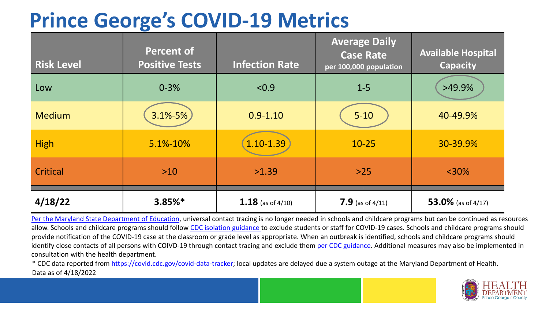## **Prince George's COVID-19 Metrics**

| <b>Risk Level</b> | <b>Percent of</b><br><b>Positive Tests</b> | <b>Infection Rate</b> | <b>Average Daily</b><br><b>Case Rate</b><br>per 100,000 population | <b>Available Hospital</b><br><b>Capacity</b> |
|-------------------|--------------------------------------------|-----------------------|--------------------------------------------------------------------|----------------------------------------------|
| Low               | $0 - 3%$                                   | < 0.9                 | $1 - 5$                                                            | $>49.9\%$                                    |
| <b>Medium</b>     | 3.1%-5%                                    | $0.9 - 1.10$          | $5 - 10$                                                           | 40-49.9%                                     |
| <b>High</b>       | 5.1%-10%                                   | 1.10-1.39             | $10 - 25$                                                          | 30-39.9%                                     |
| Critical          | $>10$                                      | >1.39                 | $>25$                                                              | $<$ 30%                                      |
| 4/18/22           | $3.85%$ *                                  | 1.18 (as of $4/10$ )  | 7.9 (as of $4/11$ )                                                | 53.0% (as of 4/17)                           |

[Per the Maryland State Department of Education,](https://earlychildhood.marylandpublicschools.org/system/files/filedepot/3/covid_guidance_full_080420.pdf) universal contact tracing is no longer needed in schools and childcare programs but can be continued as resources allow. Schools and childcare programs should follow [CDC isolation guidance t](https://www.cdc.gov/coronavirus/2019-ncov/community/schools-childcare/k-12-contact-tracing/about-isolation.html)o exclude students or staff for COVID-19 cases. Schools and childcare programs should provide notification of the COVID-19 case at the classroom or grade level as appropriate. When an outbreak is identified, schools and childcare programs should identify close contacts of all persons with COIVD-19 through contact tracing and exclude them [per CDC guidance](https://www.cdc.gov/coronavirus/2019-ncov/your-health/quarantine-isolation.html). Additional measures may also be implemented in consultation with the health department.

\* CDC data reported from [https://covid.cdc.gov/covid-data-tracker;](https://covid.cdc.gov/covid-data-tracker) local updates are delayed due a system outage at the Maryland Department of Health. Data as of 4/18/2022

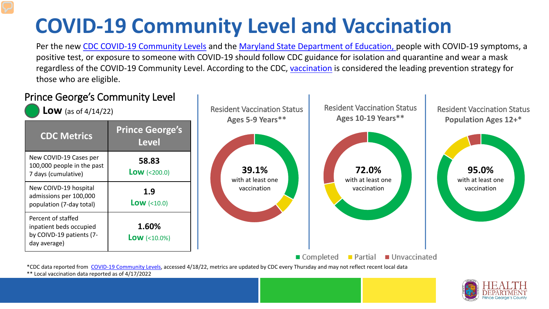# **COVID-19 Community Level and Vaccination**

Per the new [CDC COVID-19 Community Levels](https://www.cdc.gov/coronavirus/2019-ncov/science/community-levels.html#anchor_82254) and the [Maryland State Department of Education, p](https://earlychildhood.marylandpublicschools.org/system/files/filedepot/3/covid_guidance_full_080420.pdf)eople with COVID-19 symptoms, a positive test, or exposure to someone with COVID-19 should follow CDC guidance for isolation and quarantine and wear a mask regardless of the COVID-19 Community Level. According to the CDC, [vaccination](https://www.cdc.gov/coronavirus/2019-ncov/prevent-getting-sick/prevention.html) is considered the leading prevention strategy for those who are eligible.



\*\* Local vaccination data reported as of 4/17/2022

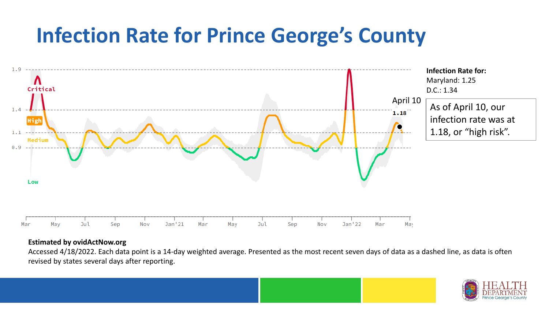## **Infection Rate for Prince George's County**



#### **Estimated by ovidActNow.org**

Accessed 4/18/2022. Each data point is a 14-day weighted average. Presented as the most recent seven days of data as a dashed line, as data is often revised by states several days after reporting.

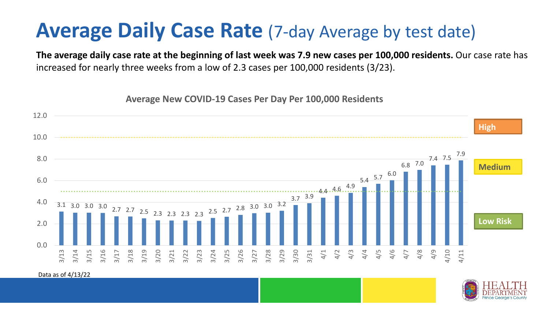### **Average Daily Case Rate** (7-day Average by test date)

**The average daily case rate at the beginning of last week was 7.9 new cases per 100,000 residents.** Our case rate has increased for nearly three weeks from a low of 2.3 cases per 100,000 residents (3/23).

**Average New COVID-19 Cases Per Day Per 100,000 Residents**